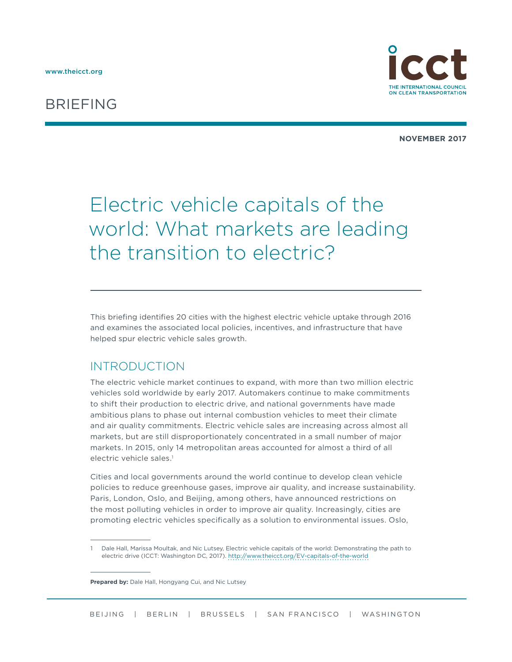## BRIEFING



**NOVEMBER 2017**

# Electric vehicle capitals of the world: What markets are leading the transition to electric?

This briefing identifies 20 cities with the highest electric vehicle uptake through 2016 and examines the associated local policies, incentives, and infrastructure that have helped spur electric vehicle sales growth.

#### INTRODUCTION

The electric vehicle market continues to expand, with more than two million electric vehicles sold worldwide by early 2017. Automakers continue to make commitments to shift their production to electric drive, and national governments have made ambitious plans to phase out internal combustion vehicles to meet their climate and air quality commitments. Electric vehicle sales are increasing across almost all markets, but are still disproportionately concentrated in a small number of major markets. In 2015, only 14 metropolitan areas accounted for almost a third of all electric vehicle sales<sup>1</sup>

Cities and local governments around the world continue to develop clean vehicle policies to reduce greenhouse gases, improve air quality, and increase sustainability. Paris, London, Oslo, and Beijing, among others, have announced restrictions on the most polluting vehicles in order to improve air quality. Increasingly, cities are promoting electric vehicles specifically as a solution to environmental issues. Oslo,

<sup>1</sup> Dale Hall, Marissa Moultak, and Nic Lutsey, Electric vehicle capitals of the world: Demonstrating the path to electric drive (ICCT: Washington DC, 2017). <http://www.theicct.org/EV-capitals-of-the-world>

**Prepared by:** Dale Hall, Hongyang Cui, and Nic Lutsey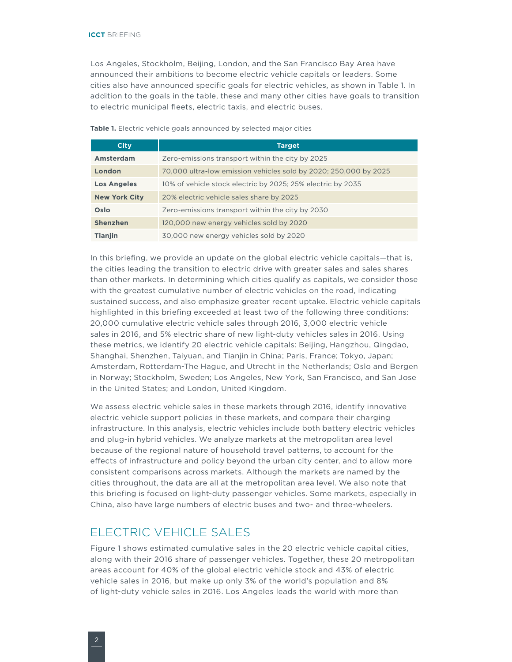Los Angeles, Stockholm, Beijing, London, and the San Francisco Bay Area have announced their ambitions to become electric vehicle capitals or leaders. Some cities also have announced specific goals for electric vehicles, as shown in [Table](#page-1-0) 1. In addition to the goals in the table, these and many other cities have goals to transition to electric municipal fleets, electric taxis, and electric buses.

#### <span id="page-1-0"></span>Table 1. Electric vehicle goals announced by selected major cities

| <b>City</b>          | <b>Target</b>                                                    |  |  |
|----------------------|------------------------------------------------------------------|--|--|
| Amsterdam            | Zero-emissions transport within the city by 2025                 |  |  |
| London               | 70,000 ultra-low emission vehicles sold by 2020; 250,000 by 2025 |  |  |
| <b>Los Angeles</b>   | 10% of vehicle stock electric by 2025; 25% electric by 2035      |  |  |
| <b>New York City</b> | 20% electric vehicle sales share by 2025                         |  |  |
| Oslo                 | Zero-emissions transport within the city by 2030                 |  |  |
| <b>Shenzhen</b>      | 120,000 new energy vehicles sold by 2020                         |  |  |
| <b>Tianjin</b>       | 30,000 new energy vehicles sold by 2020                          |  |  |

In this briefing, we provide an update on the global electric vehicle capitals—that is, the cities leading the transition to electric drive with greater sales and sales shares than other markets. In determining which cities qualify as capitals, we consider those with the greatest cumulative number of electric vehicles on the road, indicating sustained success, and also emphasize greater recent uptake. Electric vehicle capitals highlighted in this briefing exceeded at least two of the following three conditions: 20,000 cumulative electric vehicle sales through 2016, 3,000 electric vehicle sales in 2016, and 5% electric share of new light-duty vehicles sales in 2016. Using these metrics, we identify 20 electric vehicle capitals: Beijing, Hangzhou, Qingdao, Shanghai, Shenzhen, Taiyuan, and Tianjin in China; Paris, France; Tokyo, Japan; Amsterdam, Rotterdam-The Hague, and Utrecht in the Netherlands; Oslo and Bergen in Norway; Stockholm, Sweden; Los Angeles, New York, San Francisco, and San Jose in the United States; and London, United Kingdom.

We assess electric vehicle sales in these markets through 2016, identify innovative electric vehicle support policies in these markets, and compare their charging infrastructure. In this analysis, electric vehicles include both battery electric vehicles and plug-in hybrid vehicles. We analyze markets at the metropolitan area level because of the regional nature of household travel patterns, to account for the effects of infrastructure and policy beyond the urban city center, and to allow more consistent comparisons across markets. Although the markets are named by the cities throughout, the data are all at the metropolitan area level. We also note that this briefing is focused on light-duty passenger vehicles. Some markets, especially in China, also have large numbers of electric buses and two- and three-wheelers.

### ELECTRIC VEHICLE SALES

[Figure](#page-2-0) 1 shows estimated cumulative sales in the 20 electric vehicle capital cities, along with their 2016 share of passenger vehicles. Together, these 20 metropolitan areas account for 40% of the global electric vehicle stock and 43% of electric vehicle sales in 2016, but make up only 3% of the world's population and 8% of light-duty vehicle sales in 2016. Los Angeles leads the world with more than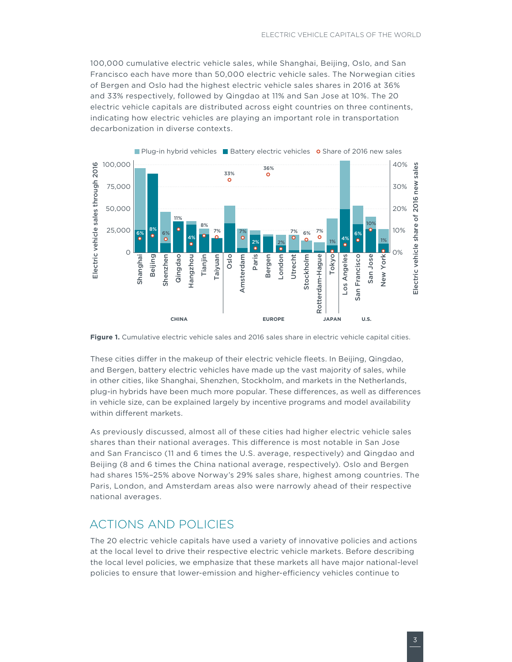100,000 cumulative electric vehicle sales, while Shanghai, Beijing, Oslo, and San Francisco each have more than 50,000 electric vehicle sales. The Norwegian cities of Bergen and Oslo had the highest electric vehicle sales shares in 2016 at 36% and 33% respectively, followed by Qingdao at 11% and San Jose at 10%. The 20 electric vehicle capitals are distributed across eight countries on three continents, indicating how electric vehicles are playing an important role in transportation decarbonization in diverse contexts.



<span id="page-2-0"></span>**Figure 1.** Cumulative electric vehicle sales and 2016 sales share in electric vehicle capital cities.

These cities differ in the makeup of their electric vehicle fleets. In Beijing, Qingdao, and Bergen, battery electric vehicles have made up the vast majority of sales, while in other cities, like Shanghai, Shenzhen, Stockholm, and markets in the Netherlands, plug-in hybrids have been much more popular. These differences, as well as differences in vehicle size, can be explained largely by incentive programs and model availability within different markets.

As previously discussed, almost all of these cities had higher electric vehicle sales shares than their national averages. This difference is most notable in San Jose and San Francisco (11 and 6 times the U.S. average, respectively) and Qingdao and Beijing (8 and 6 times the China national average, respectively). Oslo and Bergen had shares 15%–25% above Norway's 29% sales share, highest among countries. The Paris, London, and Amsterdam areas also were narrowly ahead of their respective national averages.

#### ACTIONS AND POLICIES

The 20 electric vehicle capitals have used a variety of innovative policies and actions at the local level to drive their respective electric vehicle markets. Before describing the local level policies, we emphasize that these markets all have major national-level policies to ensure that lower-emission and higher-efficiency vehicles continue to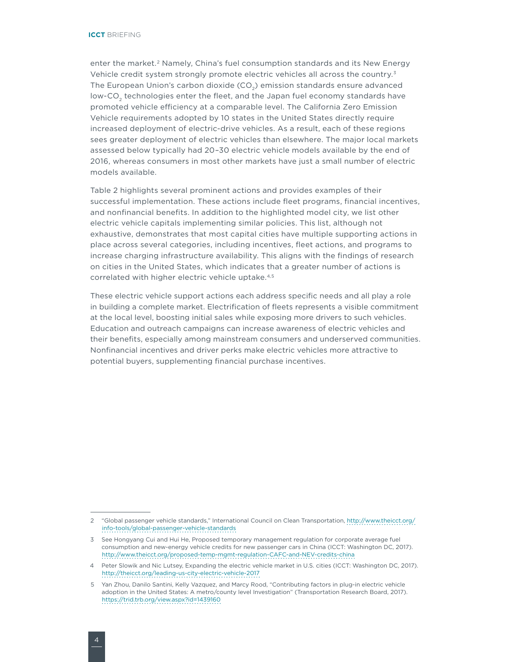enter the market.<sup>2</sup> Namely, China's fuel consumption standards and its New Energy Vehicle credit system strongly promote electric vehicles all across the country.<sup>3</sup> The European Union's carbon dioxide (CO<sub>2</sub>) emission standards ensure advanced low-CO<sub>2</sub> technologies enter the fleet, and the Japan fuel economy standards have promoted vehicle efficiency at a comparable level. The California Zero Emission Vehicle requirements adopted by 10 states in the United States directly require increased deployment of electric-drive vehicles. As a result, each of these regions sees greater deployment of electric vehicles than elsewhere. The major local markets assessed below typically had 20–30 electric vehicle models available by the end of 2016, whereas consumers in most other markets have just a small number of electric models available.

[Table 2](#page-4-0) highlights several prominent actions and provides examples of their successful implementation. These actions include fleet programs, financial incentives, and nonfinancial benefits. In addition to the highlighted model city, we list other electric vehicle capitals implementing similar policies. This list, although not exhaustive, demonstrates that most capital cities have multiple supporting actions in place across several categories, including incentives, fleet actions, and programs to increase charging infrastructure availability. This aligns with the findings of research on cities in the United States, which indicates that a greater number of actions is correlated with higher electric vehicle uptake.4*,*<sup>5</sup>

These electric vehicle support actions each address specific needs and all play a role in building a complete market. Electrification of fleets represents a visible commitment at the local level, boosting initial sales while exposing more drivers to such vehicles. Education and outreach campaigns can increase awareness of electric vehicles and their benefits, especially among mainstream consumers and underserved communities. Nonfinancial incentives and driver perks make electric vehicles more attractive to potential buyers, supplementing financial purchase incentives.

<sup>2</sup> "Global passenger vehicle standards," International Council on Clean Transportation, [http://www.theicct.org/](http://www.theicct.org/info-tools/global-passenger-vehicle-standards) [info-tools/global-passenger-vehicle-standards](http://www.theicct.org/info-tools/global-passenger-vehicle-standards)

<sup>3</sup> See Hongyang Cui and Hui He, Proposed temporary management regulation for corporate average fuel consumption and new-energy vehicle credits for new passenger cars in China (ICCT: Washington DC, 2017). <http://www.theicct.org/proposed-temp-mgmt-regulation-CAFC-and-NEV-credits-china>

<sup>4</sup> Peter Slowik and Nic Lutsey, Expanding the electric vehicle market in U.S. cities (ICCT: Washington DC, 2017). <http://theicct.org/leading-us-city-electric-vehicle-2017>

<sup>5</sup> Yan Zhou, Danilo Santini, Kelly Vazquez, and Marcy Rood, "Contributing factors in plug-in electric vehicle adoption in the United States: A metro/county level Investigation" (Transportation Research Board, 2017). <https://trid.trb.org/view.aspx?id=1439160>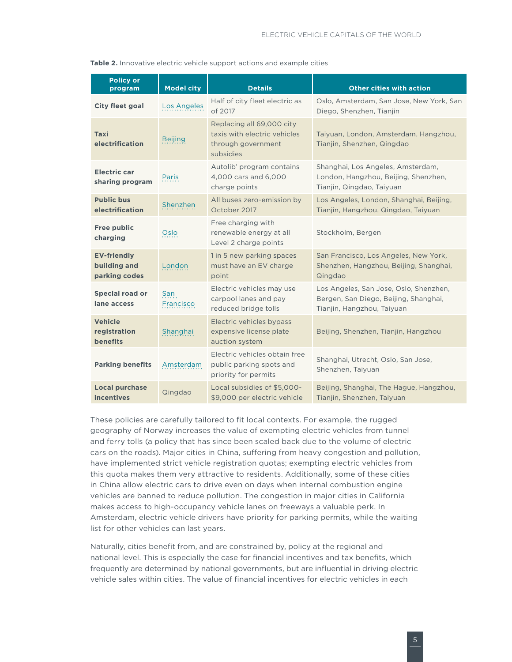| <b>Policy or</b><br>program                         | <b>Model city</b> | <b>Details</b>                                                                               | <b>Other cities with action</b>                                                                               |
|-----------------------------------------------------|-------------------|----------------------------------------------------------------------------------------------|---------------------------------------------------------------------------------------------------------------|
| <b>City fleet goal</b>                              | Los Angeles       | Half of city fleet electric as<br>of 2017                                                    | Oslo, Amsterdam, San Jose, New York, San<br>Diego, Shenzhen, Tianjin                                          |
| Taxi<br>electrification                             | <b>Beijing</b>    | Replacing all 69,000 city<br>taxis with electric vehicles<br>through government<br>subsidies | Taiyuan, London, Amsterdam, Hangzhou,<br>Tianjin, Shenzhen, Qingdao                                           |
| <b>Electric car</b><br>sharing program              | Paris             | Autolib' program contains<br>4,000 cars and 6,000<br>charge points                           | Shanghai, Los Angeles, Amsterdam,<br>London, Hangzhou, Beijing, Shenzhen,<br>Tianjin, Qingdao, Taiyuan        |
| <b>Public bus</b><br>electrification                | Shenzhen          | All buses zero-emission by<br>October 2017                                                   | Los Angeles, London, Shanghai, Beijing,<br>Tianjin, Hangzhou, Qingdao, Taiyuan                                |
| <b>Free public</b><br>charging                      | Oslo              | Free charging with<br>renewable energy at all<br>Level 2 charge points                       | Stockholm, Bergen                                                                                             |
| <b>EV-friendly</b><br>building and<br>parking codes | London            | 1 in 5 new parking spaces<br>must have an EV charge<br>point                                 | San Francisco, Los Angeles, New York,<br>Shenzhen, Hangzhou, Beijing, Shanghai,<br>Qingdao                    |
| <b>Special road or</b><br>lane access               | San<br>Francisco  | Electric vehicles may use<br>carpool lanes and pay<br>reduced bridge tolls                   | Los Angeles, San Jose, Oslo, Shenzhen,<br>Bergen, San Diego, Beijing, Shanghai,<br>Tianjin, Hangzhou, Taiyuan |
| <b>Vehicle</b><br>registration<br><b>benefits</b>   | Shanghai          | Electric vehicles bypass<br>expensive license plate<br>auction system                        | Beijing, Shenzhen, Tianjin, Hangzhou                                                                          |
| <b>Parking benefits</b>                             | Amsterdam         | Electric vehicles obtain free<br>public parking spots and<br>priority for permits            | Shanghai, Utrecht, Oslo, San Jose,<br>Shenzhen, Taiyuan                                                       |
| <b>Local purchase</b><br><b>incentives</b>          | Qingdao           | Local subsidies of \$5,000-<br>\$9,000 per electric vehicle                                  | Beijing, Shanghai, The Hague, Hangzhou,<br>Tianjin, Shenzhen, Taiyuan                                         |

<span id="page-4-0"></span>

These policies are carefully tailored to fit local contexts. For example, the rugged geography of Norway increases the value of exempting electric vehicles from tunnel and ferry tolls (a policy that has since been scaled back due to the volume of electric cars on the roads). Major cities in China, suffering from heavy congestion and pollution, have implemented strict vehicle registration quotas; exempting electric vehicles from this quota makes them very attractive to residents. Additionally, some of these cities in China allow electric cars to drive even on days when internal combustion engine vehicles are banned to reduce pollution. The congestion in major cities in California makes access to high-occupancy vehicle lanes on freeways a valuable perk. In Amsterdam, electric vehicle drivers have priority for parking permits, while the waiting list for other vehicles can last years.

Naturally, cities benefit from, and are constrained by, policy at the regional and national level. This is especially the case for financial incentives and tax benefits, which frequently are determined by national governments, but are influential in driving electric vehicle sales within cities. The value of financial incentives for electric vehicles in each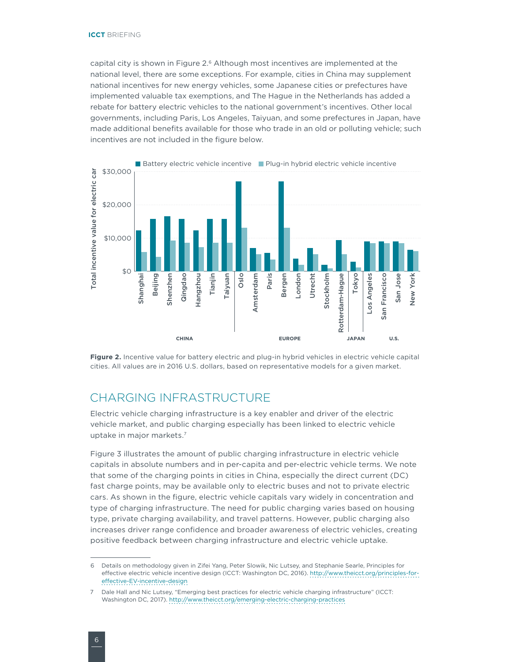capital city is shown in [Figure 2](#page-5-0).<sup>6</sup> Although most incentives are implemented at the national level, there are some exceptions. For example, cities in China may supplement national incentives for new energy vehicles, some Japanese cities or prefectures have implemented valuable tax exemptions, and The Hague in the Netherlands has added a rebate for battery electric vehicles to the national government's incentives. Other local governments, including Paris, Los Angeles, Taiyuan, and some prefectures in Japan, have made additional benefits available for those who trade in an old or polluting vehicle; such incentives are not included in the figure below.



<span id="page-5-0"></span>Figure 2. Incentive value for battery electric and plug-in hybrid vehicles in electric vehicle capital cities. All values are in 2016 U.S. dollars, based on representative models for a given market.

#### CHARGING INFRASTRUCTURE

Electric vehicle charging infrastructure is a key enabler and driver of the electric vehicle market, and public charging especially has been linked to electric vehicle uptake in major markets.7

Figure 3 illustrates the amount of public charging infrastructure in electric vehicle capitals in absolute numbers and in per-capita and per-electric vehicle terms. We note that some of the charging points in cities in China, especially the direct current (DC) fast charge points, may be available only to electric buses and not to private electric cars. As shown in the figure, electric vehicle capitals vary widely in concentration and type of charging infrastructure. The need for public charging varies based on housing type, private charging availability, and travel patterns. However, public charging also increases driver range confidence and broader awareness of electric vehicles, creating positive feedback between charging infrastructure and electric vehicle uptake.

<sup>6</sup> Details on methodology given in Zifei Yang, Peter Slowik, Nic Lutsey, and Stephanie Searle, Principles for effective electric vehicle incentive design (ICCT: Washington DC, 2016). [http://www.theicct.org/principles-for](http://www.theicct.org/principles-for-effective-EV-incentive-design)[effective-EV-incentive-design](http://www.theicct.org/principles-for-effective-EV-incentive-design)

<sup>7</sup> Dale Hall and Nic Lutsey, "Emerging best practices for electric vehicle charging infrastructure" (ICCT: Washington DC, 2017).<http://www.theicct.org/emerging-electric-charging-practices>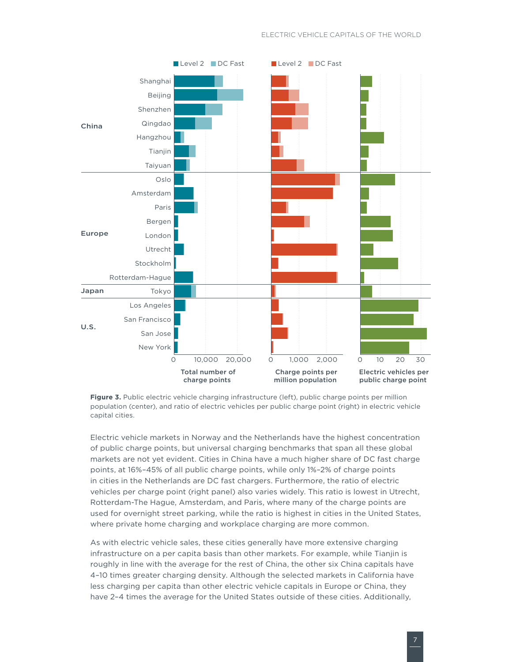

**Figure 3.** Public electric vehicle charging infrastructure (left), public charge points per million population (center), and ratio of electric vehicles per public charge point (right) in electric vehicle capital cities.

Electric vehicle markets in Norway and the Netherlands have the highest concentration of public charge points, but universal charging benchmarks that span all these global markets are not yet evident. Cities in China have a much higher share of DC fast charge points, at 16%–45% of all public charge points, while only 1%–2% of charge points in cities in the Netherlands are DC fast chargers. Furthermore, the ratio of electric vehicles per charge point (right panel) also varies widely. This ratio is lowest in Utrecht, Rotterdam-The Hague, Amsterdam, and Paris, where many of the charge points are used for overnight street parking, while the ratio is highest in cities in the United States, where private home charging and workplace charging are more common.

As with electric vehicle sales, these cities generally have more extensive charging infrastructure on a per capita basis than other markets. For example, while Tianjin is roughly in line with the average for the rest of China, the other six China capitals have 4–10 times greater charging density. Although the selected markets in California have less charging per capita than other electric vehicle capitals in Europe or China, they have 2–4 times the average for the United States outside of these cities. Additionally,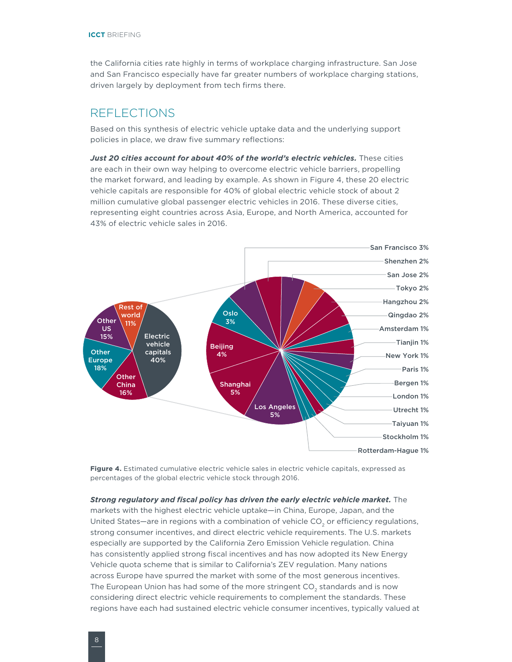the California cities rate highly in terms of workplace charging infrastructure. San Jose and San Francisco especially have far greater numbers of workplace charging stations, driven largely by deployment from tech firms there.

#### REFLECTIONS

Based on this synthesis of electric vehicle uptake data and the underlying support policies in place, we draw five summary reflections:

*Just 20 cities account for about 40% of the world's electric vehicles.* These cities are each in their own way helping to overcome electric vehicle barriers, propelling the market forward, and leading by example. As shown in [Figure 4](#page-7-0), these 20 electric vehicle capitals are responsible for 40% of global electric vehicle stock of about 2 million cumulative global passenger electric vehicles in 2016. These diverse cities, representing eight countries across Asia, Europe, and North America, accounted for 43% of electric vehicle sales in 2016.



<span id="page-7-0"></span>**Figure 4.** Estimated cumulative electric vehicle sales in electric vehicle capitals, expressed as percentages of the global electric vehicle stock through 2016.

*Strong regulatory and fiscal policy has driven the early electric vehicle market.* The markets with the highest electric vehicle uptake—in China, Europe, Japan, and the United States—are in regions with a combination of vehicle  $CO<sub>2</sub>$  or efficiency regulations, strong consumer incentives, and direct electric vehicle requirements. The U.S. markets especially are supported by the California Zero Emission Vehicle regulation. China has consistently applied strong fiscal incentives and has now adopted its New Energy Vehicle quota scheme that is similar to California's ZEV regulation. Many nations across Europe have spurred the market with some of the most generous incentives. The European Union has had some of the more stringent CO<sub>2</sub> standards and is now considering direct electric vehicle requirements to complement the standards. These regions have each had sustained electric vehicle consumer incentives, typically valued at